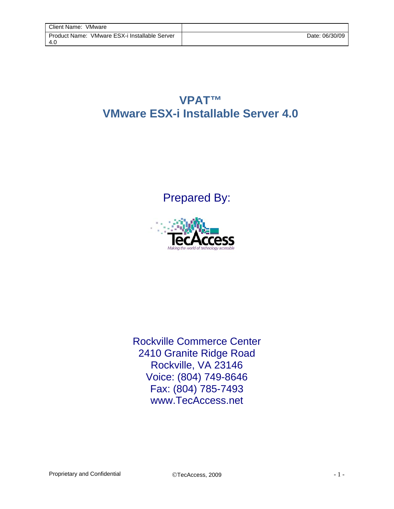## **VPAT™ VMware ESX-i Installable Server 4.0**

Prepared By:



Rockville Commerce Center 2410 Granite Ridge Road Rockville, VA 23146 Voice: (804) 749-8646 Fax: (804) 785-7493 www.TecAccess.net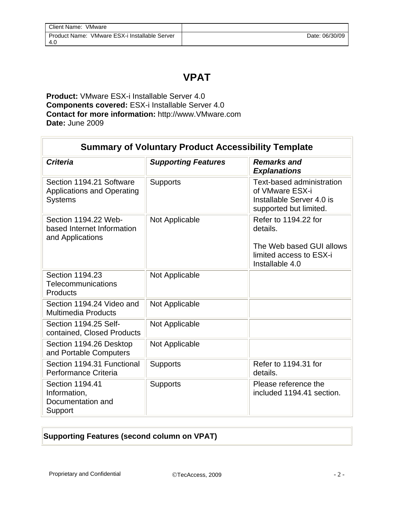## **VPAT**

**Product:** VMware ESX-i Installable Server 4.0 **Components covered:** ESX-i Installable Server 4.0 **Contact for more information:** http://www.VMware.com **Date:** June 2009

| <b>Summary of Voluntary Product Accessibility Template</b>                      |                            |                                                                                                            |  |
|---------------------------------------------------------------------------------|----------------------------|------------------------------------------------------------------------------------------------------------|--|
| <b>Criteria</b>                                                                 | <b>Supporting Features</b> | <b>Remarks and</b><br><b>Explanations</b>                                                                  |  |
| Section 1194.21 Software<br><b>Applications and Operating</b><br><b>Systems</b> | <b>Supports</b>            | <b>Text-based administration</b><br>of VMware ESX-i<br>Installable Server 4.0 is<br>supported but limited. |  |
| Section 1194.22 Web-<br>based Internet Information<br>and Applications          | Not Applicable             | Refer to 1194.22 for<br>details.<br>The Web based GUI allows<br>limited access to ESX-i<br>Installable 4.0 |  |
| Section 1194.23<br>Telecommunications<br><b>Products</b>                        | Not Applicable             |                                                                                                            |  |
| Section 1194.24 Video and<br><b>Multimedia Products</b>                         | Not Applicable             |                                                                                                            |  |
| Section 1194.25 Self-<br>contained, Closed Products                             | Not Applicable             |                                                                                                            |  |
| Section 1194.26 Desktop<br>and Portable Computers                               | Not Applicable             |                                                                                                            |  |
| Section 1194.31 Functional<br>Performance Criteria                              | <b>Supports</b>            | Refer to 1194.31 for<br>details.                                                                           |  |
| Section 1194.41<br>Information,<br>Documentation and<br>Support                 | <b>Supports</b>            | Please reference the<br>included 1194.41 section.                                                          |  |

## **Supporting Features (second column on VPAT)**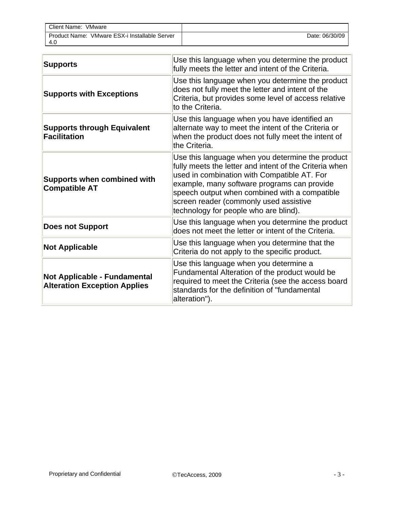| Client Name: VMware                                  |                |
|------------------------------------------------------|----------------|
| Product Name: VMware ESX-i Installable Server<br>4.G | Date: 06/30/09 |

| <b>Supports</b>                                                     | Use this language when you determine the product<br>fully meets the letter and intent of the Criteria.                                                                                                                                                                                                                                       |
|---------------------------------------------------------------------|----------------------------------------------------------------------------------------------------------------------------------------------------------------------------------------------------------------------------------------------------------------------------------------------------------------------------------------------|
| <b>Supports with Exceptions</b>                                     | Use this language when you determine the product<br>does not fully meet the letter and intent of the<br>Criteria, but provides some level of access relative<br>to the Criteria.                                                                                                                                                             |
| <b>Supports through Equivalent</b><br><b>Facilitation</b>           | Use this language when you have identified an<br>alternate way to meet the intent of the Criteria or<br>when the product does not fully meet the intent of<br>the Criteria.                                                                                                                                                                  |
| <b>Supports when combined with</b><br><b>Compatible AT</b>          | Use this language when you determine the product<br>fully meets the letter and intent of the Criteria when<br>used in combination with Compatible AT. For<br>example, many software programs can provide<br>speech output when combined with a compatible<br>screen reader (commonly used assistive<br>technology for people who are blind). |
| <b>Does not Support</b>                                             | Use this language when you determine the product<br>does not meet the letter or intent of the Criteria.                                                                                                                                                                                                                                      |
| <b>Not Applicable</b>                                               | Use this language when you determine that the<br>Criteria do not apply to the specific product.                                                                                                                                                                                                                                              |
| Not Applicable - Fundamental<br><b>Alteration Exception Applies</b> | Use this language when you determine a<br>Fundamental Alteration of the product would be<br>required to meet the Criteria (see the access board<br>standards for the definition of "fundamental<br>alteration").                                                                                                                             |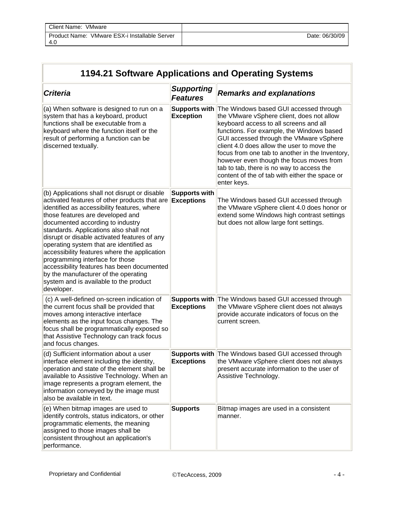| Client Name: VMware                                  |                |
|------------------------------------------------------|----------------|
| Product Name: VMware ESX-i Installable Server<br>4.C | Date: 06/30/09 |

| 1194.21 Software Applications and Operating Systems                                                                                                                                                                                                                                                                                                                                                                                                                                                                                                                                         |                                           |                                                                                                                                                                                                                                                                                                                                                                                                                                                                                  |  |
|---------------------------------------------------------------------------------------------------------------------------------------------------------------------------------------------------------------------------------------------------------------------------------------------------------------------------------------------------------------------------------------------------------------------------------------------------------------------------------------------------------------------------------------------------------------------------------------------|-------------------------------------------|----------------------------------------------------------------------------------------------------------------------------------------------------------------------------------------------------------------------------------------------------------------------------------------------------------------------------------------------------------------------------------------------------------------------------------------------------------------------------------|--|
| <b>Criteria</b>                                                                                                                                                                                                                                                                                                                                                                                                                                                                                                                                                                             | <b>Supporting</b><br><b>Features</b>      | <b>Remarks and explanations</b>                                                                                                                                                                                                                                                                                                                                                                                                                                                  |  |
| (a) When software is designed to run on a<br>system that has a keyboard, product<br>functions shall be executable from a<br>keyboard where the function itself or the<br>result of performing a function can be<br>discerned textually.                                                                                                                                                                                                                                                                                                                                                     | <b>Supports with</b><br><b>Exception</b>  | The Windows based GUI accessed through<br>the VMware vSphere client, does not allow<br>keyboard access to all screens and all<br>functions. For example, the Windows based<br>GUI accessed through the VMware vSphere<br>client 4.0 does allow the user to move the<br>focus from one tab to another in the Inventory,<br>however even though the focus moves from<br>tab to tab, there is no way to access the<br>content of the of tab with either the space or<br>enter keys. |  |
| (b) Applications shall not disrupt or disable<br>activated features of other products that are<br>identified as accessibility features, where<br>those features are developed and<br>documented according to industry<br>standards. Applications also shall not<br>disrupt or disable activated features of any<br>operating system that are identified as<br>accessibility features where the application<br>programming interface for those<br>accessibility features has been documented<br>by the manufacturer of the operating<br>system and is available to the product<br>developer. | <b>Supports with</b><br>Exceptions        | The Windows based GUI accessed through<br>the VMware vSphere client 4.0 does honor or<br>extend some Windows high contrast settings<br>but does not allow large font settings.                                                                                                                                                                                                                                                                                                   |  |
| (c) A well-defined on-screen indication of<br>the current focus shall be provided that<br>moves among interactive interface<br>elements as the input focus changes. The<br>focus shall be programmatically exposed so<br>that Assistive Technology can track focus<br>and focus changes.                                                                                                                                                                                                                                                                                                    | <b>Supports with</b><br><b>Exceptions</b> | The Windows based GUI accessed through<br>the VMware vSphere client does not always<br>provide accurate indicators of focus on the<br>current screen.                                                                                                                                                                                                                                                                                                                            |  |
| (d) Sufficient information about a user<br>interface element including the identity,<br>operation and state of the element shall be<br>available to Assistive Technology. When an<br>image represents a program element, the<br>information conveyed by the image must<br>also be available in text.                                                                                                                                                                                                                                                                                        | <b>Exceptions</b>                         | Supports with The Windows based GUI accessed through<br>the VMware vSphere client does not always<br>present accurate information to the user of<br>Assistive Technology.                                                                                                                                                                                                                                                                                                        |  |
| (e) When bitmap images are used to<br>identify controls, status indicators, or other<br>programmatic elements, the meaning<br>assigned to those images shall be<br>consistent throughout an application's<br>performance.                                                                                                                                                                                                                                                                                                                                                                   | <b>Supports</b>                           | Bitmap images are used in a consistent<br>manner.                                                                                                                                                                                                                                                                                                                                                                                                                                |  |

 $\equiv$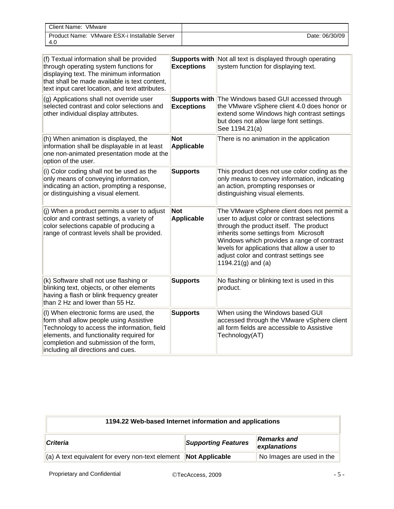| Client Name:<br>VMware                                  |                |
|---------------------------------------------------------|----------------|
| VMware ESX-i Installable Server<br>Product Name:<br>4.G | Date: 06/30/09 |

| (f) Textual information shall be provided<br>through operating system functions for<br>displaying text. The minimum information<br>that shall be made available is text content,<br>text input caret location, and text attributes.                           | <b>Exceptions</b>                         | <b>Supports with Not all text is displayed through operating</b><br>system function for displaying text.                                                                                                                                                                                                                                          |
|---------------------------------------------------------------------------------------------------------------------------------------------------------------------------------------------------------------------------------------------------------------|-------------------------------------------|---------------------------------------------------------------------------------------------------------------------------------------------------------------------------------------------------------------------------------------------------------------------------------------------------------------------------------------------------|
| (g) Applications shall not override user<br>selected contrast and color selections and<br>other individual display attributes.                                                                                                                                | <b>Supports with</b><br><b>Exceptions</b> | The Windows based GUI accessed through<br>the VMware vSphere client 4.0 does honor or<br>extend some Windows high contrast settings<br>but does not allow large font settings.<br>See 1194.21(a)                                                                                                                                                  |
| (h) When animation is displayed, the<br>information shall be displayable in at least<br>one non-animated presentation mode at the<br>option of the user.                                                                                                      | <b>Not</b><br><b>Applicable</b>           | There is no animation in the application                                                                                                                                                                                                                                                                                                          |
| (i) Color coding shall not be used as the<br>only means of conveying information,<br>indicating an action, prompting a response,<br>or distinguishing a visual element.                                                                                       | <b>Supports</b>                           | This product does not use color coding as the<br>only means to convey information, indicating<br>an action, prompting responses or<br>distinguishing visual elements.                                                                                                                                                                             |
| (j) When a product permits a user to adjust<br>color and contrast settings, a variety of<br>color selections capable of producing a<br>range of contrast levels shall be provided.                                                                            | <b>Not</b><br>Applicable                  | The VMware vSphere client does not permit a<br>user to adjust color or contrast selections<br>through the product itself. The product<br>inherits some settings from Microsoft<br>Windows which provides a range of contrast<br>levels for applications that allow a user to<br>adjust color and contrast settings see<br>1194.21 $(g)$ and $(a)$ |
| (k) Software shall not use flashing or<br>blinking text, objects, or other elements<br>having a flash or blink frequency greater<br>than 2 Hz and lower than 55 Hz.                                                                                           | <b>Supports</b>                           | No flashing or blinking text is used in this<br>product.                                                                                                                                                                                                                                                                                          |
| (I) When electronic forms are used, the<br>form shall allow people using Assistive<br>Technology to access the information, field<br>elements, and functionality required for<br>completion and submission of the form,<br>including all directions and cues. | <b>Supports</b>                           | When using the Windows based GUI<br>accessed through the VMware vSphere client<br>all form fields are accessible to Assistive<br>Technology(AT)                                                                                                                                                                                                   |

| 1194.22 Web-based Internet information and applications                                                  |  |  |  |
|----------------------------------------------------------------------------------------------------------|--|--|--|
| <b>Remarks</b> and<br><b>Supporting Features</b><br><b>Criteria</b><br>explanations                      |  |  |  |
| No Images are used in the<br>$\ $ (a) A text equivalent for every non-text element <b>Not Applicable</b> |  |  |  |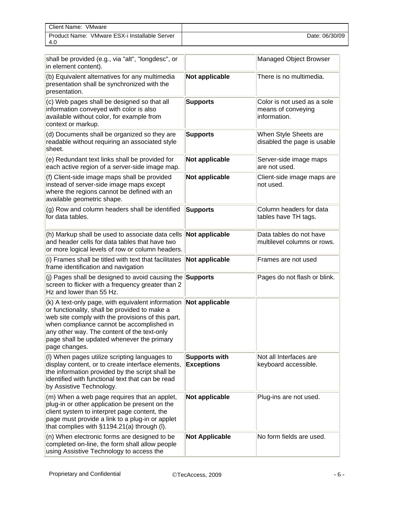| Client Name:<br>VMware                                  |                |
|---------------------------------------------------------|----------------|
| VMware ESX-i Installable Server<br>Product Name:<br>4.0 | Date: 06/30/09 |

| shall be provided (e.g., via "alt", "longdesc", or<br>in element content).                                                                                                                                                                                                                                         |                                           | Managed Object Browser                                            |
|--------------------------------------------------------------------------------------------------------------------------------------------------------------------------------------------------------------------------------------------------------------------------------------------------------------------|-------------------------------------------|-------------------------------------------------------------------|
| (b) Equivalent alternatives for any multimedia<br>presentation shall be synchronized with the<br>presentation.                                                                                                                                                                                                     | <b>Not applicable</b>                     | There is no multimedia.                                           |
| (c) Web pages shall be designed so that all<br>information conveyed with color is also<br>available without color, for example from<br>context or markup.                                                                                                                                                          | <b>Supports</b>                           | Color is not used as a sole<br>means of conveying<br>information. |
| (d) Documents shall be organized so they are<br>readable without requiring an associated style<br>sheet.                                                                                                                                                                                                           | <b>Supports</b>                           | When Style Sheets are<br>disabled the page is usable              |
| (e) Redundant text links shall be provided for<br>each active region of a server-side image map.                                                                                                                                                                                                                   | <b>Not applicable</b>                     | Server-side image maps<br>are not used.                           |
| (f) Client-side image maps shall be provided<br>instead of server-side image maps except<br>where the regions cannot be defined with an<br>available geometric shape.                                                                                                                                              | Not applicable                            | Client-side image maps are<br>not used.                           |
| (g) Row and column headers shall be identified<br>for data tables.                                                                                                                                                                                                                                                 | <b>Supports</b>                           | Column headers for data<br>tables have TH tags.                   |
| (h) Markup shall be used to associate data cells<br>and header cells for data tables that have two<br>or more logical levels of row or column headers.                                                                                                                                                             | Not applicable                            | Data tables do not have<br>multilevel columns or rows.            |
| (i) Frames shall be titled with text that facilitates<br>frame identification and navigation                                                                                                                                                                                                                       | Not applicable                            | Frames are not used                                               |
| (j) Pages shall be designed to avoid causing the <b>Supports</b><br>screen to flicker with a frequency greater than 2<br>Hz and lower than 55 Hz.                                                                                                                                                                  |                                           | Pages do not flash or blink.                                      |
| (k) A text-only page, with equivalent information<br>or functionality, shall be provided to make a<br>web site comply with the provisions of this part,<br>when compliance cannot be accomplished in<br>any other way. The content of the text-only<br>page shall be updated whenever the primary<br>page changes. | Not applicable                            |                                                                   |
| (I) When pages utilize scripting languages to<br>display content, or to create interface elements,<br>the information provided by the script shall be<br>identified with functional text that can be read<br>by Assistive Technology.                                                                              | <b>Supports with</b><br><b>Exceptions</b> | Not all Interfaces are<br>keyboard accessible.                    |
| (m) When a web page requires that an applet,<br>plug-in or other application be present on the<br>client system to interpret page content, the<br>page must provide a link to a plug-in or applet<br>that complies with §1194.21(a) through (I).                                                                   | <b>Not applicable</b>                     | Plug-ins are not used.                                            |
| (n) When electronic forms are designed to be<br>completed on-line, the form shall allow people<br>using Assistive Technology to access the                                                                                                                                                                         | <b>Not Applicable</b>                     | No form fields are used.                                          |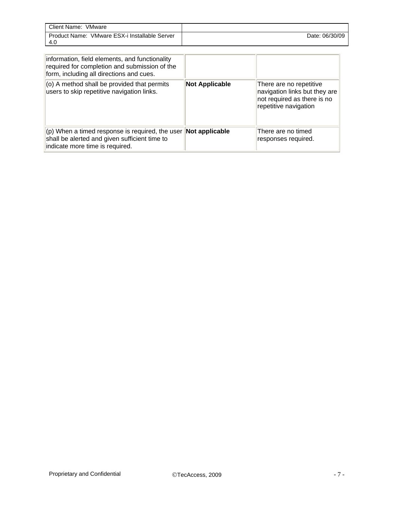| Client Name:<br>VMware                                  |                |
|---------------------------------------------------------|----------------|
| VMware ESX-i Installable Server<br>Product Name:<br>4.0 | Date: 06/30/09 |

| information, field elements, and functionality<br>required for completion and submission of the<br>form, including all directions and cues.                   |                       |                                                                                                                  |
|---------------------------------------------------------------------------------------------------------------------------------------------------------------|-----------------------|------------------------------------------------------------------------------------------------------------------|
| (o) A method shall be provided that permits<br>users to skip repetitive navigation links.                                                                     | <b>Not Applicable</b> | There are no repetitive<br>navigation links but they are<br>not required as there is no<br>repetitive navigation |
| $ $ (p) When a timed response is required, the user <b>Not applicable</b><br>shall be alerted and given sufficient time to<br>indicate more time is required. |                       | There are no timed<br>responses required.                                                                        |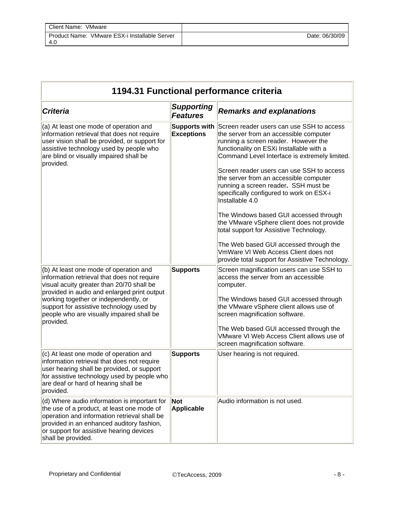| 1194.31 Functional performance criteria                                                                                                                                                                                                                                                                                          |                                           |                                                                                                                                                                                                                                                                                                                                                                                                                                                                                                                                                                                                                                                                                                |  |
|----------------------------------------------------------------------------------------------------------------------------------------------------------------------------------------------------------------------------------------------------------------------------------------------------------------------------------|-------------------------------------------|------------------------------------------------------------------------------------------------------------------------------------------------------------------------------------------------------------------------------------------------------------------------------------------------------------------------------------------------------------------------------------------------------------------------------------------------------------------------------------------------------------------------------------------------------------------------------------------------------------------------------------------------------------------------------------------------|--|
| <b>Criteria</b>                                                                                                                                                                                                                                                                                                                  | <b>Supporting</b><br><b>Features</b>      | <b>Remarks and explanations</b>                                                                                                                                                                                                                                                                                                                                                                                                                                                                                                                                                                                                                                                                |  |
| (a) At least one mode of operation and<br>information retrieval that does not require<br>user vision shall be provided, or support for<br>assistive technology used by people who<br>are blind or visually impaired shall be<br>provided.                                                                                        | <b>Supports with</b><br><b>Exceptions</b> | Screen reader users can use SSH to access<br>the server from an accessible computer<br>running a screen reader. However the<br>functionality on ESXi Installable with a<br>Command Level Interface is extremely limited.<br>Screen reader users can use SSH to access<br>the server from an accessible computer<br>running a screen reader. SSH must be<br>specifically configured to work on ESX-i<br>Installable 4.0<br>The Windows based GUI accessed through<br>the VMware vSphere client does not provide<br>total support for Assistive Technology.<br>The Web based GUI accessed through the<br>VmWare VI Web Access Client does not<br>provide total support for Assistive Technology. |  |
| (b) At least one mode of operation and<br>information retrieval that does not require<br>visual acuity greater than 20/70 shall be<br>provided in audio and enlarged print output<br>working together or independently, or<br>support for assistive technology used by<br>people who are visually impaired shall be<br>provided. | <b>Supports</b>                           | Screen magnification users can use SSH to<br>access the server from an accessible<br>computer.<br>The Windows based GUI accessed through<br>the VMware vSphere client allows use of<br>screen magnification software.<br>The Web based GUI accessed through the<br>VMware VI Web Access Client allows use of<br>screen magnification software.                                                                                                                                                                                                                                                                                                                                                 |  |
| (c) At least one mode of operation and<br>information retrieval that does not require<br>user hearing shall be provided, or support<br>for assistive technology used by people who<br>are deaf or hard of hearing shall be<br>provided.                                                                                          | <b>Supports</b>                           | User hearing is not required.                                                                                                                                                                                                                                                                                                                                                                                                                                                                                                                                                                                                                                                                  |  |
| (d) Where audio information is important for<br>the use of a product, at least one mode of<br>operation and information retrieval shall be<br>provided in an enhanced auditory fashion,<br>or support for assistive hearing devices<br>shall be provided.                                                                        | <b>Not</b><br><b>Applicable</b>           | Audio information is not used.                                                                                                                                                                                                                                                                                                                                                                                                                                                                                                                                                                                                                                                                 |  |